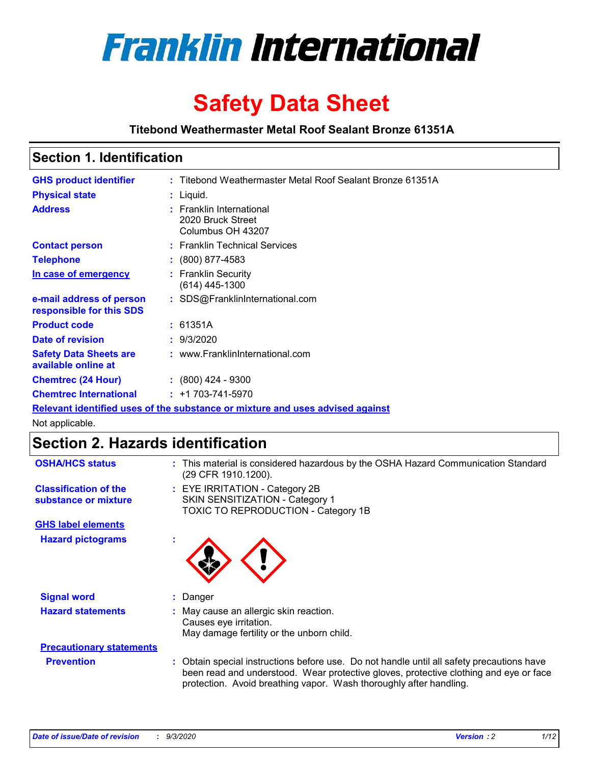

# **Safety Data Sheet**

**Titebond Weathermaster Metal Roof Sealant Bronze 61351A**

### **Section 1. Identification**

| <b>GHS product identifier</b>                                                 |  | : Titebond Weathermaster Metal Roof Sealant Bronze 61351A          |  |
|-------------------------------------------------------------------------------|--|--------------------------------------------------------------------|--|
| <b>Physical state</b>                                                         |  | : Liquid.                                                          |  |
| <b>Address</b>                                                                |  | : Franklin International<br>2020 Bruck Street<br>Columbus OH 43207 |  |
| <b>Contact person</b>                                                         |  | : Franklin Technical Services                                      |  |
| <b>Telephone</b>                                                              |  | $\div$ (800) 877-4583                                              |  |
| In case of emergency                                                          |  | : Franklin Security<br>(614) 445-1300                              |  |
| e-mail address of person<br>responsible for this SDS                          |  | : SDS@FranklinInternational.com                                    |  |
| <b>Product code</b>                                                           |  | : 61351A                                                           |  |
| Date of revision                                                              |  | : 9/3/2020                                                         |  |
| <b>Safety Data Sheets are</b><br>available online at                          |  | : www.FranklinInternational.com                                    |  |
| <b>Chemtrec (24 Hour)</b>                                                     |  | $: (800)$ 424 - 9300                                               |  |
| <b>Chemtrec International</b>                                                 |  | $: +1703 - 741 - 5970$                                             |  |
| Relevant identified uses of the substance or mixture and uses advised against |  |                                                                    |  |

Not applicable.

# **Section 2. Hazards identification**

| <b>OSHA/HCS status</b>                               |    | : This material is considered hazardous by the OSHA Hazard Communication Standard<br>(29 CFR 1910.1200).                                                                                                                                                 |
|------------------------------------------------------|----|----------------------------------------------------------------------------------------------------------------------------------------------------------------------------------------------------------------------------------------------------------|
| <b>Classification of the</b><br>substance or mixture |    | : EYE IRRITATION - Category 2B<br>SKIN SENSITIZATION - Category 1<br>TOXIC TO REPRODUCTION - Category 1B                                                                                                                                                 |
| <b>GHS label elements</b>                            |    |                                                                                                                                                                                                                                                          |
| <b>Hazard pictograms</b>                             | ٠  |                                                                                                                                                                                                                                                          |
| <b>Signal word</b>                                   | ÷. | Danger                                                                                                                                                                                                                                                   |
| <b>Hazard statements</b>                             |    | May cause an allergic skin reaction.<br>Causes eye irritation.<br>May damage fertility or the unborn child.                                                                                                                                              |
| <b>Precautionary statements</b>                      |    |                                                                                                                                                                                                                                                          |
| <b>Prevention</b>                                    |    | : Obtain special instructions before use. Do not handle until all safety precautions have<br>been read and understood. Wear protective gloves, protective clothing and eye or face<br>protection. Avoid breathing vapor. Wash thoroughly after handling. |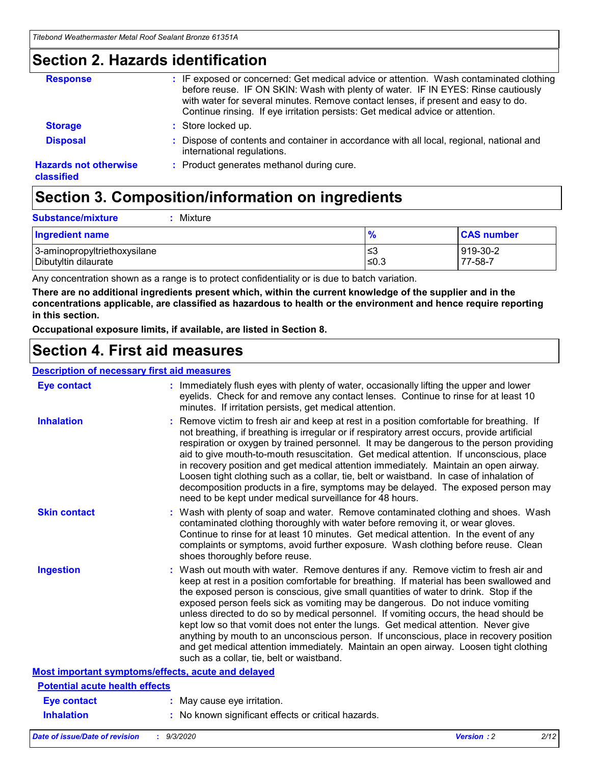### **Section 2. Hazards identification**

| <b>Response</b>                            | : IF exposed or concerned: Get medical advice or attention. Wash contaminated clothing<br>before reuse. IF ON SKIN: Wash with plenty of water. IF IN EYES: Rinse cautiously<br>with water for several minutes. Remove contact lenses, if present and easy to do.<br>Continue rinsing. If eye irritation persists: Get medical advice or attention. |
|--------------------------------------------|----------------------------------------------------------------------------------------------------------------------------------------------------------------------------------------------------------------------------------------------------------------------------------------------------------------------------------------------------|
| <b>Storage</b>                             | : Store locked up.                                                                                                                                                                                                                                                                                                                                 |
| <b>Disposal</b>                            | : Dispose of contents and container in accordance with all local, regional, national and<br>international regulations.                                                                                                                                                                                                                             |
| <b>Hazards not otherwise</b><br>classified | : Product generates methanol during cure.                                                                                                                                                                                                                                                                                                          |

# **Section 3. Composition/information on ingredients**

| <b>Substance/mixture</b> |  | : Mixture |
|--------------------------|--|-----------|
|--------------------------|--|-----------|

| <b>Ingredient name</b>       | $\frac{9}{6}$ | <b>CAS number</b> |
|------------------------------|---------------|-------------------|
| 3-aminopropyltriethoxysilane | ≤3            | 919-30-2          |
| Dibutyltin dilaurate         | ∣≤0.3         | 77-58-7           |

Any concentration shown as a range is to protect confidentiality or is due to batch variation.

**There are no additional ingredients present which, within the current knowledge of the supplier and in the concentrations applicable, are classified as hazardous to health or the environment and hence require reporting in this section.**

**Occupational exposure limits, if available, are listed in Section 8.**

### **Section 4. First aid measures**

| <b>Description of necessary first aid measures</b> |                                                                                                                                                                                                                                                                                                                                                                                                                                                                                                                                                                                                                                                                                                                                                                           |
|----------------------------------------------------|---------------------------------------------------------------------------------------------------------------------------------------------------------------------------------------------------------------------------------------------------------------------------------------------------------------------------------------------------------------------------------------------------------------------------------------------------------------------------------------------------------------------------------------------------------------------------------------------------------------------------------------------------------------------------------------------------------------------------------------------------------------------------|
| <b>Eye contact</b>                                 | : Immediately flush eyes with plenty of water, occasionally lifting the upper and lower<br>eyelids. Check for and remove any contact lenses. Continue to rinse for at least 10<br>minutes. If irritation persists, get medical attention.                                                                                                                                                                                                                                                                                                                                                                                                                                                                                                                                 |
| <b>Inhalation</b>                                  | : Remove victim to fresh air and keep at rest in a position comfortable for breathing. If<br>not breathing, if breathing is irregular or if respiratory arrest occurs, provide artificial<br>respiration or oxygen by trained personnel. It may be dangerous to the person providing<br>aid to give mouth-to-mouth resuscitation. Get medical attention. If unconscious, place<br>in recovery position and get medical attention immediately. Maintain an open airway.<br>Loosen tight clothing such as a collar, tie, belt or waistband. In case of inhalation of<br>decomposition products in a fire, symptoms may be delayed. The exposed person may<br>need to be kept under medical surveillance for 48 hours.                                                       |
| <b>Skin contact</b>                                | : Wash with plenty of soap and water. Remove contaminated clothing and shoes. Wash<br>contaminated clothing thoroughly with water before removing it, or wear gloves.<br>Continue to rinse for at least 10 minutes. Get medical attention. In the event of any<br>complaints or symptoms, avoid further exposure. Wash clothing before reuse. Clean<br>shoes thoroughly before reuse.                                                                                                                                                                                                                                                                                                                                                                                     |
| <b>Ingestion</b>                                   | : Wash out mouth with water. Remove dentures if any. Remove victim to fresh air and<br>keep at rest in a position comfortable for breathing. If material has been swallowed and<br>the exposed person is conscious, give small quantities of water to drink. Stop if the<br>exposed person feels sick as vomiting may be dangerous. Do not induce vomiting<br>unless directed to do so by medical personnel. If vomiting occurs, the head should be<br>kept low so that vomit does not enter the lungs. Get medical attention. Never give<br>anything by mouth to an unconscious person. If unconscious, place in recovery position<br>and get medical attention immediately. Maintain an open airway. Loosen tight clothing<br>such as a collar, tie, belt or waistband. |
| Most important symptoms/effects, acute and delayed |                                                                                                                                                                                                                                                                                                                                                                                                                                                                                                                                                                                                                                                                                                                                                                           |
| <b>Potential acute health effects</b>              |                                                                                                                                                                                                                                                                                                                                                                                                                                                                                                                                                                                                                                                                                                                                                                           |
| <b>Eye contact</b>                                 | : May cause eye irritation.                                                                                                                                                                                                                                                                                                                                                                                                                                                                                                                                                                                                                                                                                                                                               |
| <b>Inhalation</b>                                  | : No known significant effects or critical hazards.                                                                                                                                                                                                                                                                                                                                                                                                                                                                                                                                                                                                                                                                                                                       |
|                                                    |                                                                                                                                                                                                                                                                                                                                                                                                                                                                                                                                                                                                                                                                                                                                                                           |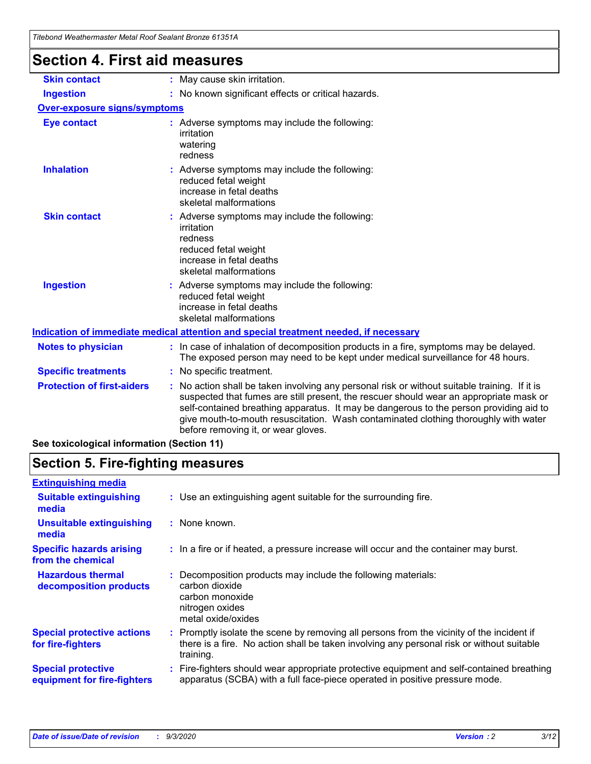| Titebong weathermaster Metal Roof Sealant Bronze 61351A |                                                                                                                                                                                                                                                                                                                                                                                                                 |
|---------------------------------------------------------|-----------------------------------------------------------------------------------------------------------------------------------------------------------------------------------------------------------------------------------------------------------------------------------------------------------------------------------------------------------------------------------------------------------------|
| <b>Section 4. First aid measures</b>                    |                                                                                                                                                                                                                                                                                                                                                                                                                 |
| <b>Skin contact</b>                                     | : May cause skin irritation.                                                                                                                                                                                                                                                                                                                                                                                    |
| <b>Ingestion</b>                                        | : No known significant effects or critical hazards.                                                                                                                                                                                                                                                                                                                                                             |
| <b>Over-exposure signs/symptoms</b>                     |                                                                                                                                                                                                                                                                                                                                                                                                                 |
| <b>Eye contact</b>                                      | : Adverse symptoms may include the following:<br>irritation<br>watering<br>redness                                                                                                                                                                                                                                                                                                                              |
| <b>Inhalation</b>                                       | : Adverse symptoms may include the following:<br>reduced fetal weight<br>increase in fetal deaths<br>skeletal malformations                                                                                                                                                                                                                                                                                     |
| <b>Skin contact</b>                                     | Adverse symptoms may include the following:<br>irritation<br>redness<br>reduced fetal weight<br>increase in fetal deaths<br>skeletal malformations                                                                                                                                                                                                                                                              |
| <b>Ingestion</b>                                        | : Adverse symptoms may include the following:<br>reduced fetal weight<br>increase in fetal deaths<br>skeletal malformations                                                                                                                                                                                                                                                                                     |
|                                                         | Indication of immediate medical attention and special treatment needed, if necessary                                                                                                                                                                                                                                                                                                                            |
| <b>Notes to physician</b>                               | : In case of inhalation of decomposition products in a fire, symptoms may be delayed.<br>The exposed person may need to be kept under medical surveillance for 48 hours.                                                                                                                                                                                                                                        |
| <b>Specific treatments</b>                              | : No specific treatment.                                                                                                                                                                                                                                                                                                                                                                                        |
| <b>Protection of first-aiders</b>                       | : No action shall be taken involving any personal risk or without suitable training. If it is<br>suspected that fumes are still present, the rescuer should wear an appropriate mask or<br>self-contained breathing apparatus. It may be dangerous to the person providing aid to<br>give mouth-to-mouth resuscitation. Wash contaminated clothing thoroughly with water<br>before removing it, or wear gloves. |

**See toxicological information (Section 11)**

### **Section 5. Fire-fighting measures**

| <b>Extinguishing media</b>                               |                                                                                                                                                                                                     |
|----------------------------------------------------------|-----------------------------------------------------------------------------------------------------------------------------------------------------------------------------------------------------|
| <b>Suitable extinguishing</b><br>media                   | : Use an extinguishing agent suitable for the surrounding fire.                                                                                                                                     |
| <b>Unsuitable extinguishing</b><br>media                 | : None known.                                                                                                                                                                                       |
| <b>Specific hazards arising</b><br>from the chemical     | : In a fire or if heated, a pressure increase will occur and the container may burst.                                                                                                               |
| <b>Hazardous thermal</b><br>decomposition products       | : Decomposition products may include the following materials:<br>carbon dioxide<br>carbon monoxide<br>nitrogen oxides<br>metal oxide/oxides                                                         |
| <b>Special protective actions</b><br>for fire-fighters   | : Promptly isolate the scene by removing all persons from the vicinity of the incident if<br>there is a fire. No action shall be taken involving any personal risk or without suitable<br>training. |
| <b>Special protective</b><br>equipment for fire-fighters | Fire-fighters should wear appropriate protective equipment and self-contained breathing<br>apparatus (SCBA) with a full face-piece operated in positive pressure mode.                              |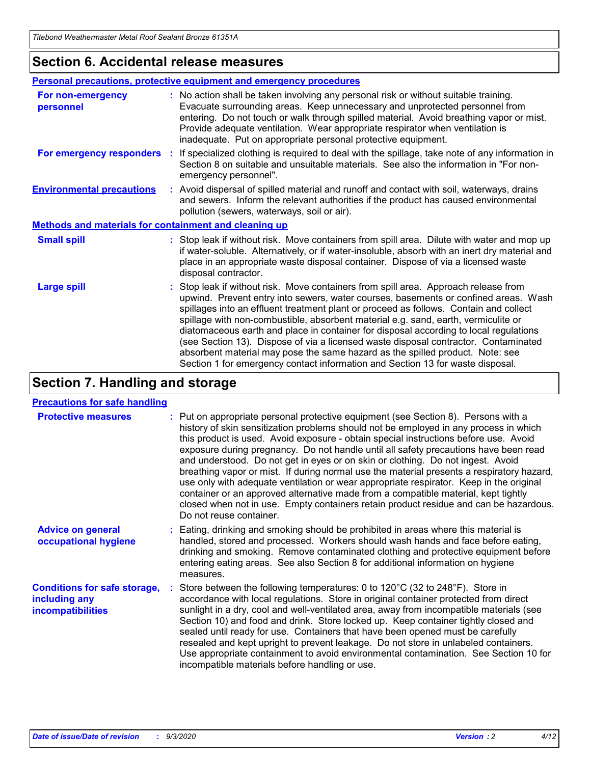### **Section 6. Accidental release measures**

|                                                       | Personal precautions, protective equipment and emergency procedures                                                                                                                                                                                                                                                                                                                                                                                                                                                                                                                                                                                                                                          |  |  |  |
|-------------------------------------------------------|--------------------------------------------------------------------------------------------------------------------------------------------------------------------------------------------------------------------------------------------------------------------------------------------------------------------------------------------------------------------------------------------------------------------------------------------------------------------------------------------------------------------------------------------------------------------------------------------------------------------------------------------------------------------------------------------------------------|--|--|--|
| For non-emergency<br>personnel                        | : No action shall be taken involving any personal risk or without suitable training.<br>Evacuate surrounding areas. Keep unnecessary and unprotected personnel from<br>entering. Do not touch or walk through spilled material. Avoid breathing vapor or mist.<br>Provide adequate ventilation. Wear appropriate respirator when ventilation is<br>inadequate. Put on appropriate personal protective equipment.                                                                                                                                                                                                                                                                                             |  |  |  |
| For emergency responders                              | If specialized clothing is required to deal with the spillage, take note of any information in<br>÷.<br>Section 8 on suitable and unsuitable materials. See also the information in "For non-<br>emergency personnel".                                                                                                                                                                                                                                                                                                                                                                                                                                                                                       |  |  |  |
| <b>Environmental precautions</b>                      | : Avoid dispersal of spilled material and runoff and contact with soil, waterways, drains<br>and sewers. Inform the relevant authorities if the product has caused environmental<br>pollution (sewers, waterways, soil or air).                                                                                                                                                                                                                                                                                                                                                                                                                                                                              |  |  |  |
| Methods and materials for containment and cleaning up |                                                                                                                                                                                                                                                                                                                                                                                                                                                                                                                                                                                                                                                                                                              |  |  |  |
| <b>Small spill</b>                                    | : Stop leak if without risk. Move containers from spill area. Dilute with water and mop up<br>if water-soluble. Alternatively, or if water-insoluble, absorb with an inert dry material and<br>place in an appropriate waste disposal container. Dispose of via a licensed waste<br>disposal contractor.                                                                                                                                                                                                                                                                                                                                                                                                     |  |  |  |
| <b>Large spill</b>                                    | : Stop leak if without risk. Move containers from spill area. Approach release from<br>upwind. Prevent entry into sewers, water courses, basements or confined areas. Wash<br>spillages into an effluent treatment plant or proceed as follows. Contain and collect<br>spillage with non-combustible, absorbent material e.g. sand, earth, vermiculite or<br>diatomaceous earth and place in container for disposal according to local regulations<br>(see Section 13). Dispose of via a licensed waste disposal contractor. Contaminated<br>absorbent material may pose the same hazard as the spilled product. Note: see<br>Section 1 for emergency contact information and Section 13 for waste disposal. |  |  |  |

### **Section 7. Handling and storage**

#### **Precautions for safe handling**

| <b>Protective measures</b>                                                       | : Put on appropriate personal protective equipment (see Section 8). Persons with a<br>history of skin sensitization problems should not be employed in any process in which<br>this product is used. Avoid exposure - obtain special instructions before use. Avoid<br>exposure during pregnancy. Do not handle until all safety precautions have been read<br>and understood. Do not get in eyes or on skin or clothing. Do not ingest. Avoid<br>breathing vapor or mist. If during normal use the material presents a respiratory hazard,<br>use only with adequate ventilation or wear appropriate respirator. Keep in the original<br>container or an approved alternative made from a compatible material, kept tightly<br>closed when not in use. Empty containers retain product residue and can be hazardous.<br>Do not reuse container. |
|----------------------------------------------------------------------------------|--------------------------------------------------------------------------------------------------------------------------------------------------------------------------------------------------------------------------------------------------------------------------------------------------------------------------------------------------------------------------------------------------------------------------------------------------------------------------------------------------------------------------------------------------------------------------------------------------------------------------------------------------------------------------------------------------------------------------------------------------------------------------------------------------------------------------------------------------|
| <b>Advice on general</b><br>occupational hygiene                                 | : Eating, drinking and smoking should be prohibited in areas where this material is<br>handled, stored and processed. Workers should wash hands and face before eating,<br>drinking and smoking. Remove contaminated clothing and protective equipment before<br>entering eating areas. See also Section 8 for additional information on hygiene<br>measures.                                                                                                                                                                                                                                                                                                                                                                                                                                                                                    |
| <b>Conditions for safe storage,</b><br>including any<br><i>incompatibilities</i> | Store between the following temperatures: 0 to 120°C (32 to 248°F). Store in<br>accordance with local regulations. Store in original container protected from direct<br>sunlight in a dry, cool and well-ventilated area, away from incompatible materials (see<br>Section 10) and food and drink. Store locked up. Keep container tightly closed and<br>sealed until ready for use. Containers that have been opened must be carefully<br>resealed and kept upright to prevent leakage. Do not store in unlabeled containers.<br>Use appropriate containment to avoid environmental contamination. See Section 10 for<br>incompatible materials before handling or use.                                                                                                                                                                         |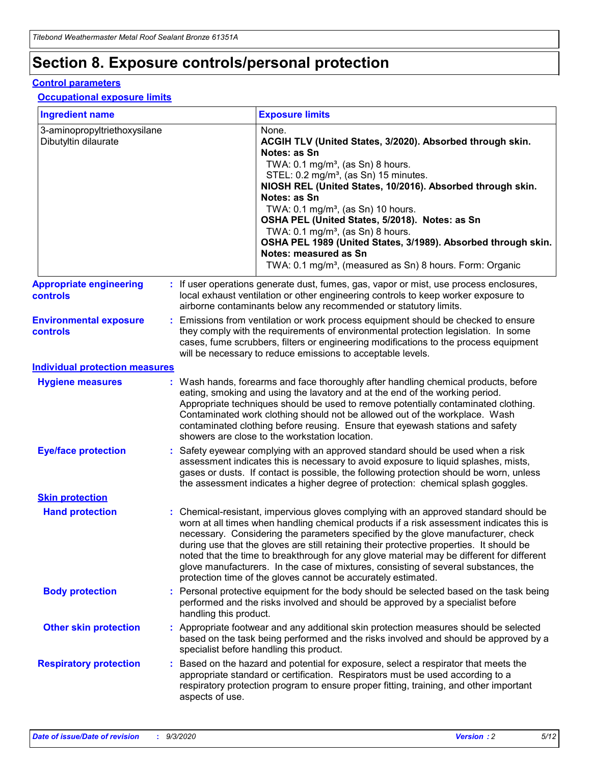# **Section 8. Exposure controls/personal protection**

#### **Control parameters**

#### **Occupational exposure limits**

| <b>Ingredient name</b>                               |    |                        | <b>Exposure limits</b>                                                                                                                                                                                                                                                                                                                                                                                                                                                                                                                                                                                                 |
|------------------------------------------------------|----|------------------------|------------------------------------------------------------------------------------------------------------------------------------------------------------------------------------------------------------------------------------------------------------------------------------------------------------------------------------------------------------------------------------------------------------------------------------------------------------------------------------------------------------------------------------------------------------------------------------------------------------------------|
| 3-aminopropyltriethoxysilane<br>Dibutyltin dilaurate |    |                        | None.<br>ACGIH TLV (United States, 3/2020). Absorbed through skin.<br>Notes: as Sn<br>TWA: $0.1 \text{ mg/m}^3$ , (as Sn) 8 hours.<br>STEL: 0.2 mg/m <sup>3</sup> , (as Sn) 15 minutes.<br>NIOSH REL (United States, 10/2016). Absorbed through skin.<br>Notes: as Sn<br>TWA: 0.1 mg/m <sup>3</sup> , (as Sn) 10 hours.<br>OSHA PEL (United States, 5/2018). Notes: as Sn<br>TWA: $0.1 \text{ mg/m}^3$ , (as Sn) 8 hours.<br>OSHA PEL 1989 (United States, 3/1989). Absorbed through skin.<br>Notes: measured as Sn<br>TWA: 0.1 mg/m <sup>3</sup> , (measured as Sn) 8 hours. Form: Organic                            |
| <b>Appropriate engineering</b><br>controls           |    |                        | : If user operations generate dust, fumes, gas, vapor or mist, use process enclosures,<br>local exhaust ventilation or other engineering controls to keep worker exposure to<br>airborne contaminants below any recommended or statutory limits.                                                                                                                                                                                                                                                                                                                                                                       |
| <b>Environmental exposure</b><br><b>controls</b>     |    |                        | Emissions from ventilation or work process equipment should be checked to ensure<br>they comply with the requirements of environmental protection legislation. In some<br>cases, fume scrubbers, filters or engineering modifications to the process equipment<br>will be necessary to reduce emissions to acceptable levels.                                                                                                                                                                                                                                                                                          |
| <b>Individual protection measures</b>                |    |                        |                                                                                                                                                                                                                                                                                                                                                                                                                                                                                                                                                                                                                        |
| <b>Hygiene measures</b>                              |    |                        | : Wash hands, forearms and face thoroughly after handling chemical products, before<br>eating, smoking and using the lavatory and at the end of the working period.<br>Appropriate techniques should be used to remove potentially contaminated clothing.<br>Contaminated work clothing should not be allowed out of the workplace. Wash<br>contaminated clothing before reusing. Ensure that eyewash stations and safety<br>showers are close to the workstation location.                                                                                                                                            |
| <b>Eye/face protection</b>                           |    |                        | Safety eyewear complying with an approved standard should be used when a risk<br>assessment indicates this is necessary to avoid exposure to liquid splashes, mists,<br>gases or dusts. If contact is possible, the following protection should be worn, unless<br>the assessment indicates a higher degree of protection: chemical splash goggles.                                                                                                                                                                                                                                                                    |
| <b>Skin protection</b>                               |    |                        |                                                                                                                                                                                                                                                                                                                                                                                                                                                                                                                                                                                                                        |
| <b>Hand protection</b>                               |    |                        | : Chemical-resistant, impervious gloves complying with an approved standard should be<br>worn at all times when handling chemical products if a risk assessment indicates this is<br>necessary. Considering the parameters specified by the glove manufacturer, check<br>during use that the gloves are still retaining their protective properties. It should be<br>noted that the time to breakthrough for any glove material may be different for different<br>glove manufacturers. In the case of mixtures, consisting of several substances, the<br>protection time of the gloves cannot be accurately estimated. |
| <b>Body protection</b>                               |    | handling this product. | Personal protective equipment for the body should be selected based on the task being<br>performed and the risks involved and should be approved by a specialist before                                                                                                                                                                                                                                                                                                                                                                                                                                                |
| <b>Other skin protection</b>                         |    |                        | Appropriate footwear and any additional skin protection measures should be selected<br>based on the task being performed and the risks involved and should be approved by a<br>specialist before handling this product.                                                                                                                                                                                                                                                                                                                                                                                                |
| <b>Respiratory protection</b>                        | ÷. | aspects of use.        | Based on the hazard and potential for exposure, select a respirator that meets the<br>appropriate standard or certification. Respirators must be used according to a<br>respiratory protection program to ensure proper fitting, training, and other important                                                                                                                                                                                                                                                                                                                                                         |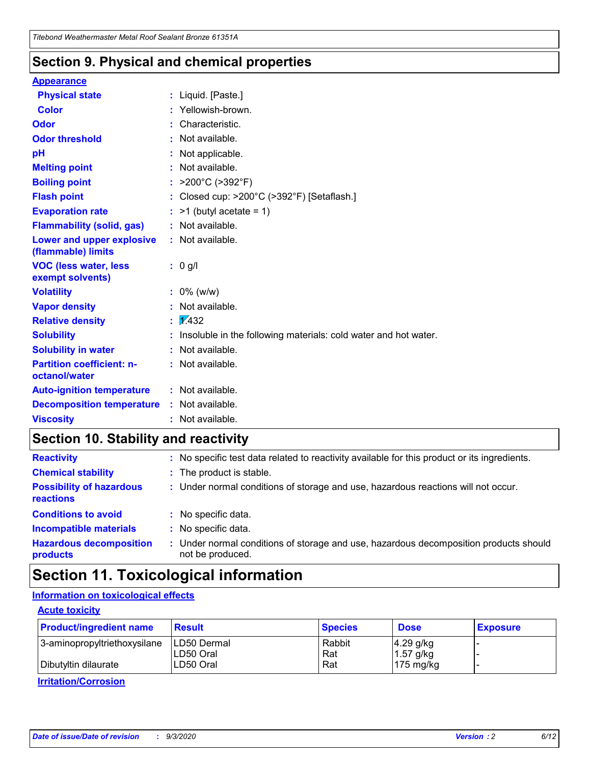### **Section 9. Physical and chemical properties**

#### **Appearance**

| <b>Physical state</b>                             | : Liquid. [Paste.]                                              |
|---------------------------------------------------|-----------------------------------------------------------------|
| <b>Color</b>                                      | Yellowish-brown.                                                |
| Odor                                              | : Characteristic.                                               |
| <b>Odor threshold</b>                             | : Not available.                                                |
| рH                                                | : Not applicable.                                               |
| <b>Melting point</b>                              | : Not available.                                                |
| <b>Boiling point</b>                              | >200°C (>392°F)                                                 |
| <b>Flash point</b>                                | : Closed cup: >200°C (>392°F) [Setaflash.]                      |
| <b>Evaporation rate</b>                           | $:$ >1 (butyl acetate = 1)                                      |
| <b>Flammability (solid, gas)</b>                  | : Not available.                                                |
| Lower and upper explosive<br>(flammable) limits   | $:$ Not available.                                              |
| <b>VOC (less water, less</b><br>exempt solvents)  | $: 0$ g/l                                                       |
| <b>Volatility</b>                                 | $: 0\%$ (w/w)                                                   |
| <b>Vapor density</b>                              | : Not available.                                                |
| <b>Relative density</b>                           | $\frac{1}{2}$ $\frac{1}{432}$                                   |
| <b>Solubility</b>                                 | Insoluble in the following materials: cold water and hot water. |
| <b>Solubility in water</b>                        | : Not available.                                                |
| <b>Partition coefficient: n-</b><br>octanol/water | : Not available.                                                |
| <b>Auto-ignition temperature</b>                  | $:$ Not available.                                              |
| <b>Decomposition temperature</b>                  | : Not available.                                                |
| <b>Viscosity</b>                                  | : Not available.                                                |

### **Section 10. Stability and reactivity**

| <b>Reactivity</b>                            |    | : No specific test data related to reactivity available for this product or its ingredients.            |
|----------------------------------------------|----|---------------------------------------------------------------------------------------------------------|
| <b>Chemical stability</b>                    |    | : The product is stable.                                                                                |
| <b>Possibility of hazardous</b><br>reactions |    | : Under normal conditions of storage and use, hazardous reactions will not occur.                       |
| <b>Conditions to avoid</b>                   |    | : No specific data.                                                                                     |
| <b>Incompatible materials</b>                |    | : No specific data.                                                                                     |
| <b>Hazardous decomposition</b><br>products   | ÷. | Under normal conditions of storage and use, hazardous decomposition products should<br>not be produced. |

### **Section 11. Toxicological information**

#### **Information on toxicological effects**

#### **Acute toxicity**

| <b>Product/ingredient name</b> | <b>Result</b>           | <b>Species</b> | <b>Dose</b>                | <b>Exposure</b> |
|--------------------------------|-------------------------|----------------|----------------------------|-----------------|
| 3-aminopropyltriethoxysilane   | <b>ILD50 Dermal</b>     | Rabbit         | 4.29 g/kg                  |                 |
| Dibutyltin dilaurate           | ILD50 Oral<br>LD50 Oral | Rat<br>Rat     | $1.57$ g/kg<br>175 $mg/kg$ |                 |
|                                |                         |                |                            |                 |

**Irritation/Corrosion**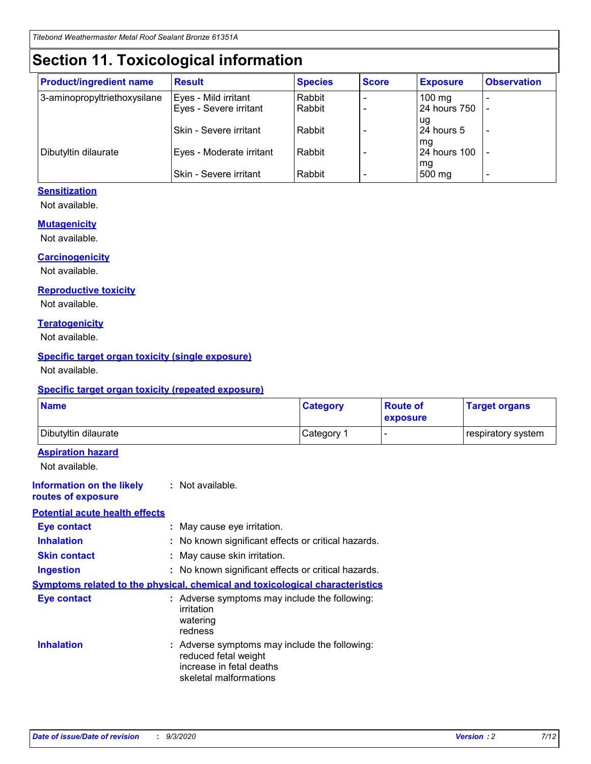# **Section 11. Toxicological information**

| <b>Product/ingredient name</b> | <b>Result</b>                 | <b>Species</b> | <b>Score</b> | <b>Exposure</b>    | <b>Observation</b> |
|--------------------------------|-------------------------------|----------------|--------------|--------------------|--------------------|
| 3-aminopropyltriethoxysilane   | Eyes - Mild irritant          | Rabbit         |              | $100$ mg           |                    |
|                                | Eyes - Severe irritant        | Rabbit         |              | 24 hours 750       |                    |
|                                |                               |                |              | ug                 |                    |
|                                | <b>Skin - Severe irritant</b> | Rabbit         |              | 24 hours 5         | ۰                  |
| Dibutyltin dilaurate           | Eyes - Moderate irritant      | Rabbit         |              | mq<br>24 hours 100 |                    |
|                                |                               |                |              | mg                 |                    |
|                                | Skin - Severe irritant        | Rabbit         |              | 500 mg             |                    |

#### **Sensitization**

Not available.

#### **Mutagenicity**

Not available.

#### **Carcinogenicity**

Not available.

#### **Reproductive toxicity**

Not available.

#### **Teratogenicity**

Not available.

#### **Specific target organ toxicity (single exposure)**

Not available.

#### **Specific target organ toxicity (repeated exposure)**

| <b>Name</b>                                                                  |                                                                                                                             | <b>Category</b>                                     | <b>Route of</b><br>exposure | <b>Target organs</b> |  |  |
|------------------------------------------------------------------------------|-----------------------------------------------------------------------------------------------------------------------------|-----------------------------------------------------|-----------------------------|----------------------|--|--|
| Dibutyltin dilaurate                                                         |                                                                                                                             | Category 1                                          |                             | respiratory system   |  |  |
| <b>Aspiration hazard</b><br>Not available.                                   |                                                                                                                             |                                                     |                             |                      |  |  |
| <b>Information on the likely</b><br>routes of exposure                       | : Not available.                                                                                                            |                                                     |                             |                      |  |  |
| <b>Potential acute health effects</b>                                        |                                                                                                                             |                                                     |                             |                      |  |  |
| <b>Eye contact</b>                                                           | : May cause eye irritation.                                                                                                 |                                                     |                             |                      |  |  |
| <b>Inhalation</b>                                                            |                                                                                                                             | : No known significant effects or critical hazards. |                             |                      |  |  |
| <b>Skin contact</b>                                                          |                                                                                                                             | : May cause skin irritation.                        |                             |                      |  |  |
| <b>Ingestion</b>                                                             |                                                                                                                             | : No known significant effects or critical hazards. |                             |                      |  |  |
| Symptoms related to the physical, chemical and toxicological characteristics |                                                                                                                             |                                                     |                             |                      |  |  |
| <b>Eye contact</b>                                                           | : Adverse symptoms may include the following:<br>irritation<br>watering<br>redness                                          |                                                     |                             |                      |  |  |
| <b>Inhalation</b>                                                            | : Adverse symptoms may include the following:<br>reduced fetal weight<br>increase in fetal deaths<br>skeletal malformations |                                                     |                             |                      |  |  |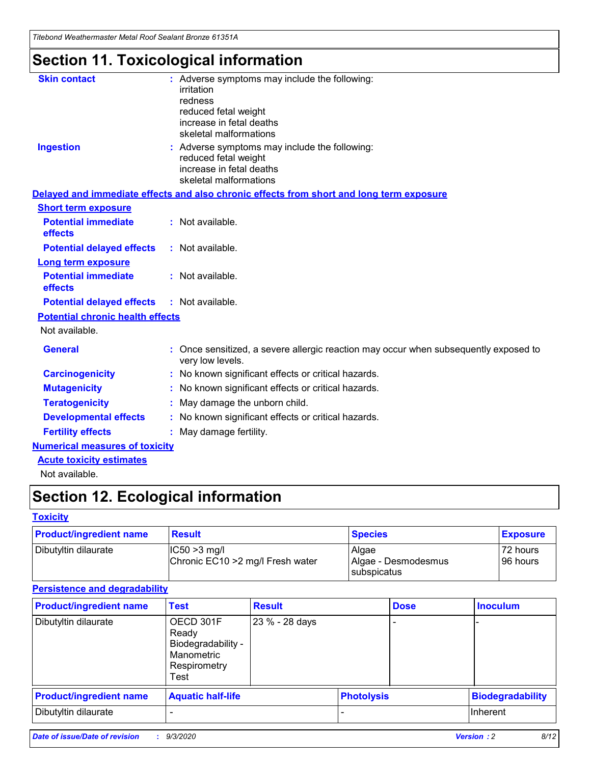*Titebond Weathermaster Metal Roof Sealant Bronze 61351A*

# **Section 11. Toxicological information**

| <b>Skin contact</b>                     | : Adverse symptoms may include the following:<br>irritation                                                                 |  |
|-----------------------------------------|-----------------------------------------------------------------------------------------------------------------------------|--|
|                                         | redness                                                                                                                     |  |
|                                         | reduced fetal weight<br>increase in fetal deaths                                                                            |  |
|                                         | skeletal malformations                                                                                                      |  |
| <b>Ingestion</b>                        | : Adverse symptoms may include the following:<br>reduced fetal weight<br>increase in fetal deaths<br>skeletal malformations |  |
|                                         | Delayed and immediate effects and also chronic effects from short and long term exposure                                    |  |
| <b>Short term exposure</b>              |                                                                                                                             |  |
| <b>Potential immediate</b><br>effects   | : Not available.                                                                                                            |  |
| <b>Potential delayed effects</b>        | : Not available.                                                                                                            |  |
| <b>Long term exposure</b>               |                                                                                                                             |  |
| <b>Potential immediate</b><br>effects   | : Not available.                                                                                                            |  |
| <b>Potential delayed effects</b>        | : Not available.                                                                                                            |  |
| <b>Potential chronic health effects</b> |                                                                                                                             |  |
| Not available.                          |                                                                                                                             |  |
| <b>General</b>                          | : Once sensitized, a severe allergic reaction may occur when subsequently exposed to<br>very low levels.                    |  |
| <b>Carcinogenicity</b>                  | : No known significant effects or critical hazards.                                                                         |  |
| <b>Mutagenicity</b>                     | : No known significant effects or critical hazards.                                                                         |  |
| <b>Teratogenicity</b>                   | May damage the unborn child.                                                                                                |  |
| <b>Developmental effects</b>            | : No known significant effects or critical hazards.                                                                         |  |
| <b>Fertility effects</b>                | : May damage fertility.                                                                                                     |  |
| <b>Numerical measures of toxicity</b>   |                                                                                                                             |  |
| <b>Acute toxicity estimates</b>         |                                                                                                                             |  |
| والمادانون والملا                       |                                                                                                                             |  |

Not available.

# **Section 12. Ecological information**

#### **Toxicity**

| <b>Product/ingredient name</b> | <b>Result</b>                                       | <b>Species</b>               | <b>Exposure</b>       |
|--------------------------------|-----------------------------------------------------|------------------------------|-----------------------|
| Dibutyltin dilaurate           | $ CC50>3$ mg/l<br>Chronic EC10 > 2 mg/l Fresh water | Algae<br>Algae - Desmodesmus | 72 hours<br>196 hours |
|                                |                                                     | <b>I</b> subspicatus         |                       |

#### **Persistence and degradability**

| <b>Product/ingredient name</b> | <b>Test</b>                                                                    | <b>Result</b>  |                   | <b>Dose</b> | <b>Inoculum</b>         |
|--------------------------------|--------------------------------------------------------------------------------|----------------|-------------------|-------------|-------------------------|
| Dibutyltin dilaurate           | OECD 301F<br>Ready<br>Biodegradability -<br>Manometric<br>Respirometry<br>Test | 23 % - 28 days |                   |             |                         |
| <b>Product/ingredient name</b> | <b>Aquatic half-life</b>                                                       |                | <b>Photolysis</b> |             | <b>Biodegradability</b> |
| Dibutyltin dilaurate           |                                                                                |                |                   |             | <b>Inherent</b>         |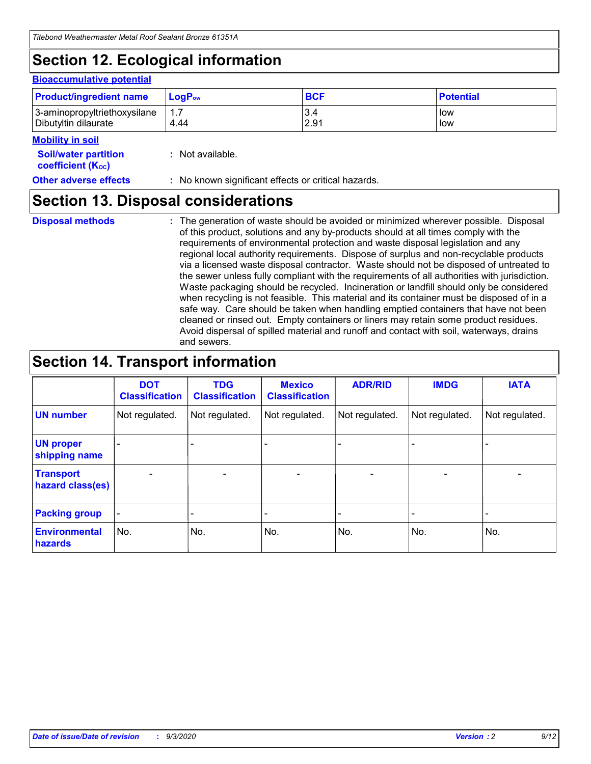# **Section 12. Ecological information**

#### **Bioaccumulative potential**

| <b>Product/ingredient name</b> | $\mathsf{LogP}_\mathsf{ow}$ | <b>BCF</b> | <b>Potential</b> |
|--------------------------------|-----------------------------|------------|------------------|
| 3-aminopropyltriethoxysilane   | 1.7                         | 3.4        | low              |
| Dibutyltin dilaurate           | 4.44                        | 2.91       | low              |

#### **Mobility in soil**

| <b>Soil/water partition</b>           | : Not available. |
|---------------------------------------|------------------|
| <b>coefficient</b> (K <sub>oc</sub> ) |                  |

**Other adverse effects** : No known significant effects or critical hazards.

### **Section 13. Disposal considerations**

**Disposal methods :**

The generation of waste should be avoided or minimized wherever possible. Disposal of this product, solutions and any by-products should at all times comply with the requirements of environmental protection and waste disposal legislation and any regional local authority requirements. Dispose of surplus and non-recyclable products via a licensed waste disposal contractor. Waste should not be disposed of untreated to the sewer unless fully compliant with the requirements of all authorities with jurisdiction. Waste packaging should be recycled. Incineration or landfill should only be considered when recycling is not feasible. This material and its container must be disposed of in a safe way. Care should be taken when handling emptied containers that have not been cleaned or rinsed out. Empty containers or liners may retain some product residues. Avoid dispersal of spilled material and runoff and contact with soil, waterways, drains and sewers.

### **Section 14. Transport information**

|                                      | <b>DOT</b><br><b>Classification</b> | <b>TDG</b><br><b>Classification</b> | <b>Mexico</b><br><b>Classification</b> | <b>ADR/RID</b>               | <b>IMDG</b>              | <b>IATA</b>    |
|--------------------------------------|-------------------------------------|-------------------------------------|----------------------------------------|------------------------------|--------------------------|----------------|
| <b>UN number</b>                     | Not regulated.                      | Not regulated.                      | Not regulated.                         | Not regulated.               | Not regulated.           | Not regulated. |
| <b>UN proper</b><br>shipping name    |                                     |                                     |                                        |                              |                          |                |
| <b>Transport</b><br>hazard class(es) | $\overline{\phantom{0}}$            | $\overline{\phantom{0}}$            | $\qquad \qquad$                        | $\qquad \qquad \blacksquare$ | $\overline{\phantom{0}}$ |                |
| <b>Packing group</b>                 | -                                   |                                     |                                        |                              |                          |                |
| <b>Environmental</b><br>hazards      | No.                                 | No.                                 | No.                                    | No.                          | No.                      | No.            |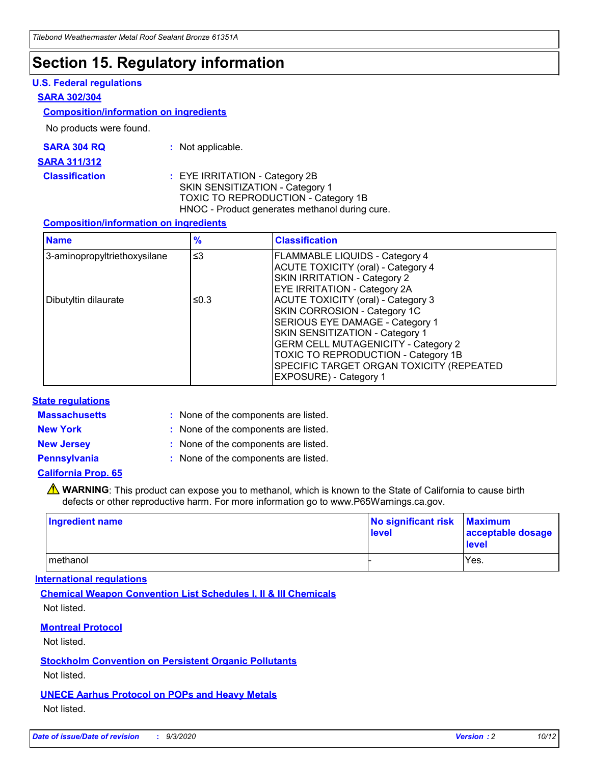### **Section 15. Regulatory information**

#### **U.S. Federal regulations**

#### **SARA 302/304**

#### **Composition/information on ingredients**

No products were found.

| SARA 304 RQ | Not applicable. |
|-------------|-----------------|
|-------------|-----------------|

#### **SARA 311/312**

**Classification :** EYE IRRITATION - Category 2B SKIN SENSITIZATION - Category 1 TOXIC TO REPRODUCTION - Category 1B HNOC - Product generates methanol during cure.

#### **Composition/information on ingredients**

| <b>Name</b>                  | $\frac{9}{6}$ | <b>Classification</b>                                                                                                                                                                                                                                                                                      |
|------------------------------|---------------|------------------------------------------------------------------------------------------------------------------------------------------------------------------------------------------------------------------------------------------------------------------------------------------------------------|
| 3-aminopropyltriethoxysilane | $\leq$ 3      | <b>FLAMMABLE LIQUIDS - Category 4</b><br><b>ACUTE TOXICITY (oral) - Category 4</b><br><b>SKIN IRRITATION - Category 2</b><br>EYE IRRITATION - Category 2A                                                                                                                                                  |
| Dibutyltin dilaurate         | ≤0.3          | <b>ACUTE TOXICITY (oral) - Category 3</b><br>SKIN CORROSION - Category 1C<br>SERIOUS EYE DAMAGE - Category 1<br>SKIN SENSITIZATION - Category 1<br><b>GERM CELL MUTAGENICITY - Category 2</b><br>TOXIC TO REPRODUCTION - Category 1B<br>SPECIFIC TARGET ORGAN TOXICITY (REPEATED<br>EXPOSURE) - Category 1 |

#### **State regulations**

**Massachusetts :**

: None of the components are listed.

**New York :** None of the components are listed. **New Jersey :** None of the components are listed.

**Pennsylvania :** None of the components are listed.

#### **California Prop. 65**

WARNING: This product can expose you to methanol, which is known to the State of California to cause birth defects or other reproductive harm. For more information go to www.P65Warnings.ca.gov.

| Ingredient name | No significant risk<br>level | <b>Maximum</b><br>acceptable dosage<br><b>level</b> |
|-----------------|------------------------------|-----------------------------------------------------|
| l methanol      |                              | Yes.                                                |

#### **International regulations**

**Chemical Weapon Convention List Schedules I, II & III Chemicals** Not listed.

#### **Montreal Protocol**

Not listed.

**Stockholm Convention on Persistent Organic Pollutants**

Not listed.

#### **UNECE Aarhus Protocol on POPs and Heavy Metals** Not listed.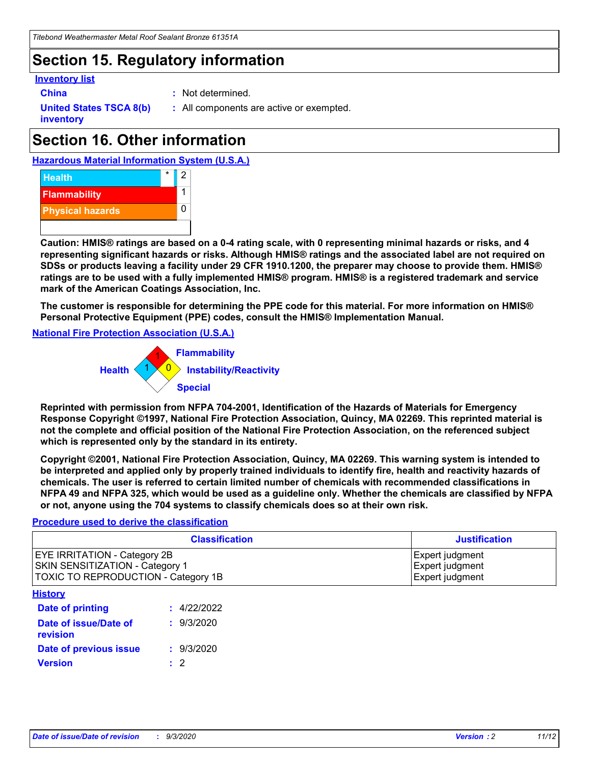## **Section 15. Regulatory information**

#### **Inventory list**

- 
- **China :** Not determined.

**United States TSCA 8(b) inventory**

**:** All components are active or exempted.

# **Section 16. Other information**

**Hazardous Material Information System (U.S.A.)**



**Caution: HMIS® ratings are based on a 0-4 rating scale, with 0 representing minimal hazards or risks, and 4 representing significant hazards or risks. Although HMIS® ratings and the associated label are not required on SDSs or products leaving a facility under 29 CFR 1910.1200, the preparer may choose to provide them. HMIS® ratings are to be used with a fully implemented HMIS® program. HMIS® is a registered trademark and service mark of the American Coatings Association, Inc.**

**The customer is responsible for determining the PPE code for this material. For more information on HMIS® Personal Protective Equipment (PPE) codes, consult the HMIS® Implementation Manual.**

**National Fire Protection Association (U.S.A.)**



**Reprinted with permission from NFPA 704-2001, Identification of the Hazards of Materials for Emergency Response Copyright ©1997, National Fire Protection Association, Quincy, MA 02269. This reprinted material is not the complete and official position of the National Fire Protection Association, on the referenced subject which is represented only by the standard in its entirety.**

**Copyright ©2001, National Fire Protection Association, Quincy, MA 02269. This warning system is intended to be interpreted and applied only by properly trained individuals to identify fire, health and reactivity hazards of chemicals. The user is referred to certain limited number of chemicals with recommended classifications in NFPA 49 and NFPA 325, which would be used as a guideline only. Whether the chemicals are classified by NFPA or not, anyone using the 704 systems to classify chemicals does so at their own risk.**

#### **Procedure used to derive the classification**

| <b>Classification</b>                                                                                         | <b>Justification</b>                                  |
|---------------------------------------------------------------------------------------------------------------|-------------------------------------------------------|
| <b>EYE IRRITATION - Category 2B</b><br>SKIN SENSITIZATION - Category 1<br>TOXIC TO REPRODUCTION - Category 1B | Expert judgment<br>Expert judgment<br>Expert judgment |
| <b>History</b>                                                                                                |                                                       |

| .                                 |             |
|-----------------------------------|-------------|
| Date of printing                  | : 4/22/2022 |
| Date of issue/Date of<br>revision | : 9/3/2020  |
| Date of previous issue            | : 9/3/2020  |
| <b>Version</b>                    | $\cdot$ 2   |
|                                   |             |